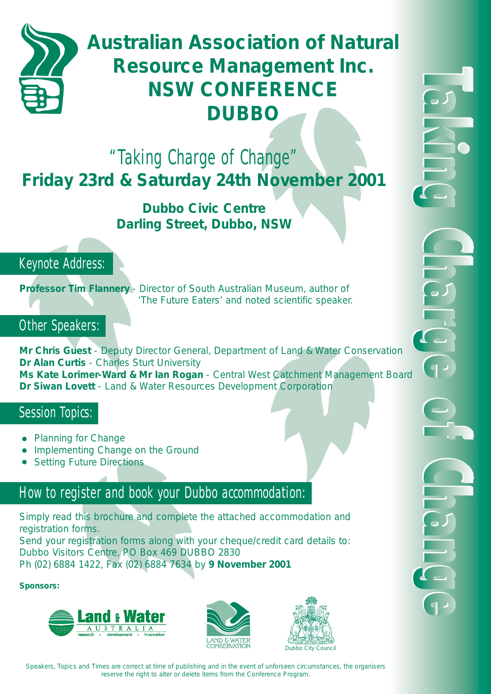

## **Australian Association of Natural Resource Management Inc. NSW CONFERENCE DUBBO**

## "Taking Charge of Change" **Friday 23rd & Saturday 24th November 2001**

## **Dubbo Civic Centre Darling Street, Dubbo, NSW**

## Keynote Address:

**Professor Tim Flannery** - Director of South Australian Museum, author of 'The Future Eaters' and noted scientific speaker.

## Other Speakers:

**Mr Chris Guest** - Deputy Director General, Department of Land & Water Conservation **Dr Alan Curtis** - Charles Sturt University **Ms Kate Lorimer-Ward & Mr Ian Rogan** - Central West Catchment Management Board **Dr Siwan Lovett** - Land & Water Resources Development Corporation

## Session Topics:

- Planning for Change
- Implementing Change on the Ground
- Setting Future Directions

## How to register and book your Dubbo accommodation:

Simply read this brochure and complete the attached accommodation and registration forms.

Send your registration forms along with your cheque/credit card details to: Dubbo Visitors Centre, PO Box 469 DUBBO 2830 Ph (02) 6884 1422, Fax (02) 6884 7634 by **9 November 2001**

**Sponsors:**







Speakers, Topics and Times are correct at time of publishing and in the event of unforseen circumstances, the organisers reserve the right to alter or delete items from the Conference Program.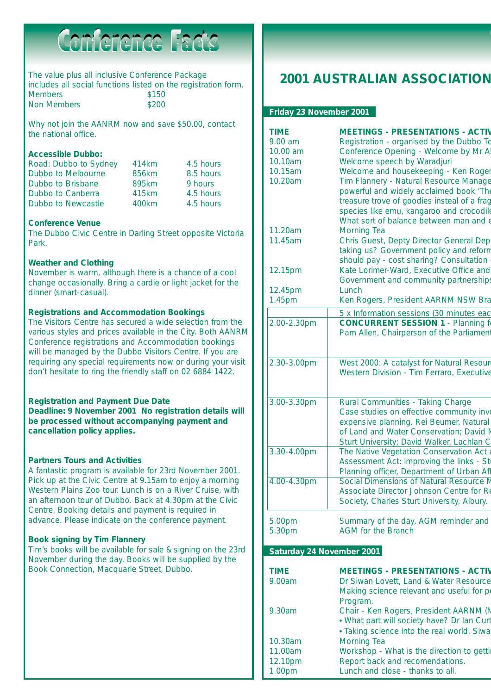# Conference Facts

The value plus all inclusive Conference Package includes all social functions listed on the registration form. Members \$150 Non Members \$200

Why not join the AANRM now and save \$50.00, contact the national office.

#### **Accessible Dubbo:**

| Road: Dubbo to Sydney | 414km | 4.5 hours |
|-----------------------|-------|-----------|
| Dubbo to Melbourne    | 856km | 8.5 hours |
| Dubbo to Brisbane     | 895km | 9 hours   |
| Dubbo to Canberra     | 415km | 4.5 hours |
| Dubbo to Newcastle    | 400km | 4.5 hours |

#### **Conference Venue**

The Dubbo Civic Centre in Darling Street opposite Victoria Park.

#### **Weather and Clothing**

November is warm, although there is a chance of a cool change occasionally. Bring a cardie or light jacket for the dinner (smart-casual).

#### **Registrations and Accommodation Bookings**

The Visitors Centre has secured a wide selection from the various styles and prices available in the City. Both AANRM Conference registrations and Accommodation bookings will be managed by the Dubbo Visitors Centre. If you are requiring any special requirements now or during your visit don't hesitate to ring the friendly staff on 02 6884 1422.

#### **Registration and Payment Due Date**

**Deadline: 9 November 2001 No registration details will be processed without accompanying payment and cancellation policy applies.**

#### **Partners Tours and Activities**

A fantastic program is available for 23rd November 2001. Pick up at the Civic Centre at 9.15am to enjoy a morning Western Plains Zoo tour. Lunch is on a River Cruise, with an afternoon tour of Dubbo. Back at 4.30pm at the Civic Centre. Booking details and payment is required in advance. Please indicate on the conference payment.

#### **Book signing by Tim Flannery**

Tim's books will be available for sale & signing on the 23rd November during the day. Books will be supplied by the Book Connection, Macquarie Street, Dubbo.

### **2001 AUSTRALIAN ASSOCIATION**

#### **Friday 23 November 2001**

| <b>TIME</b>               | <b>MEETINGS - PRESENTATIONS - ACTIV</b>                                              |
|---------------------------|--------------------------------------------------------------------------------------|
| 9.00 am                   | Registration - organised by the Dubbo To                                             |
| 10.00 am                  | Conference Opening - Welcome by Mr Al                                                |
| 10.10am                   | Welcome speech by Waradjuri                                                          |
| 10.15am<br>10.20am        | Welcome and housekeeping - Ken Roger                                                 |
|                           | Tim Flannery - Natural Resource Manage<br>powerful and widely acclaimed book 'The    |
|                           | treasure trove of goodies insteal of a frag                                          |
|                           | species like emu, kangaroo and crocodile                                             |
|                           | What sort of balance between man and $\epsilon$                                      |
| 11.20am                   | <b>Morning Tea</b>                                                                   |
| 11.45am                   | Chris Guest, Depty Director General Dep                                              |
|                           | taking us? Government policy and reform                                              |
|                           | should pay - cost sharing? Consultation                                              |
| 12.15pm                   | Kate Lorimer-Ward, Executive Office and                                              |
|                           | Government and community partnerships                                                |
| 12.45pm                   | Lunch                                                                                |
| 1.45pm                    | Ken Rogers, President AARNM NSW Bra                                                  |
|                           | 5 x Information sessions (30 minutes eac                                             |
| 2.00-2.30pm               | <b>CONCURRENT SESSION 1 - Planning for</b>                                           |
|                           | Pam Allen, Chairperson of the Parliament                                             |
|                           |                                                                                      |
| 2.30-3.00pm               | West 2000: A catalyst for Natural Resour                                             |
|                           | Western Division - Tim Ferraro, Executive                                            |
|                           |                                                                                      |
|                           |                                                                                      |
| 3.00-3.30pm               | Rural Communities - Taking Charge                                                    |
|                           | Case studies on effective community inve                                             |
|                           | expensive planning. Rei Beumer, Natural                                              |
|                           | of Land and Water Conservation; David N<br>Sturt University; David Walker, Lachlan C |
| 3.30-4.00pm               | The Native Vegetation Conservation Act a                                             |
|                           | Assessment Act: improving the links - Str                                            |
|                           | Planning officer, Department of Urban Aff                                            |
| 4.00-4.30pm               | Social Dimensions of Natural Resource M                                              |
|                           | Associate Director Johnson Centre for Re                                             |
|                           | Society, Charles Sturt University, Albury.                                           |
|                           |                                                                                      |
| 5.00pm                    | Summary of the day, AGM reminder and<br><b>AGM</b> for the Branch                    |
| 5.30pm                    |                                                                                      |
| Saturday 24 November 2001 |                                                                                      |
|                           |                                                                                      |
| <b>TIME</b>               | <b>MEETINGS - PRESENTATIONS - ACTIV</b>                                              |
| 9.00am                    | Dr Siwan Lovett, Land & Water Resource                                               |
|                           | Making science relevant and useful for pe                                            |
| 9.30am                    | Program.<br>Chair - Ken Rogers, President AARNM (N                                   |
|                           | . What part will society have? Dr Ian Curt                                           |
|                           | • Taking science into the real world. Siwa                                           |
| 10.30am                   | <b>Morning Tea</b>                                                                   |
|                           |                                                                                      |

12.10pm Report back and recomendations. 1.00pm Lunch and close - thanks to all.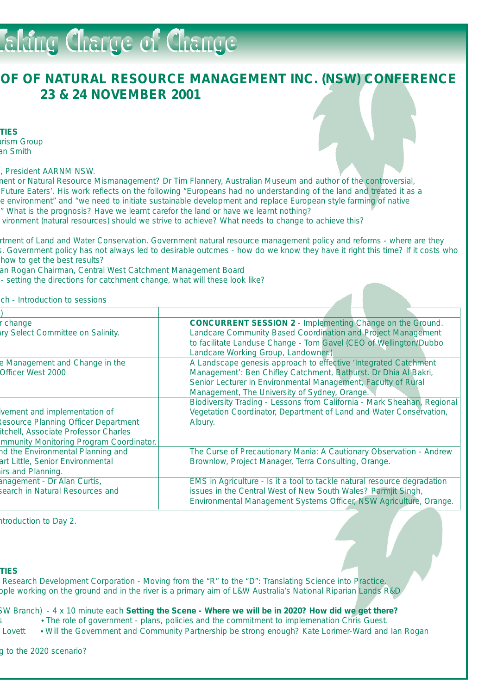# **Faking Charge of Change**

### **OF OF NATURAL RESOURCE MANAGEMENT INC. (NSW) CONFERENCE 23 & 24 NOVEMBER 2001**

**TIES**

urism Group an Smith

s, President AARNM NSW.

ment or Natural Resource Mismanagement? Dr Tim Flannery, Australian Museum and author of the controversial, Future Eaters'. His work reflects on the following "Europeans had no understanding of the land and treated it as a e environment" and "we need to initiate sustainable development and replace European style farming of native " What is the prognosis? Have we learnt carefor the land or have we learnt nothing?

vironment (natural resources) should we strive to achieve? What needs to change to achieve this?

rtment of Land and Water Conservation. Government natural resource management policy and reforms - where are they s. Government policy has not always led to desirable outcmes - how do we know they have it right this time? If it costs who how to get the best results?

an Rogan Chairman, Central West Catchment Management Board

- setting the directions for catchment change, what will these look like?

ch - Introduction to sessions

| change                                   | <b>CONCURRENT SESSION 2 - Implementing Change on the Ground.</b>         |  |
|------------------------------------------|--------------------------------------------------------------------------|--|
| <b>Iry Select Committee on Salinity.</b> | Landcare Community Based Coordination and Project Management             |  |
|                                          | to facilitate Landuse Change - Tom Gavel (CEO of Wellington/Dubbo        |  |
|                                          | Landcare Working Group, Landowner.)                                      |  |
| e Management and Change in the           | A Landscape genesis approach to effective 'Integrated Catchment          |  |
| Officer West 2000                        | Management': Ben Chifley Catchment, Bathurst. Dr Dhia Al Bakri,          |  |
|                                          | Senior Lecturer in Environmental Management, Faculty of Rural            |  |
|                                          | Management, The University of Sydney, Orange.                            |  |
|                                          | Biodiversity Trading - Lessons from California - Mark Sheahan, Regional  |  |
| vement and implementation of             | Vegetation Coordinator, Department of Land and Water Conservation,       |  |
| esource Planning Officer Department      | Albury.                                                                  |  |
| itchell, Associate Professor Charles     |                                                                          |  |
| mmunity Monitoring Program Coordinator.  |                                                                          |  |
| nd the Environmental Planning and        | The Curse of Precautionary Mania: A Cautionary Observation - Andrew      |  |
| art Little, Senior Environmental         | Brownlow, Project Manager, Terra Consulting, Orange.                     |  |
| irs and Planning.                        |                                                                          |  |
| anagement - Dr Alan Curtis,              | EMS in Agriculture - Is it a tool to tackle natural resource degradation |  |
| search in Natural Resources and          | issues in the Central West of New South Wales? Parmjit Singh,            |  |
|                                          | Environmental Management Systems Officer, NSW Agriculture, Orange.       |  |

ntroduction to Day 2.

#### **TIES**

Research Development Corporation - Moving from the "R" to the "D": Translating Science into Practice. ople working on the ground and in the river is a primary aim of L&W Australia's National Riparian Lands R&D

SW Branch) - 4 x 10 minute each **Setting the Scene - Where we will be in 2020? How did we get there?** • The role of government - plans, policies and the commitment to implemenation Chris Guest.

Lovett • Will the Government and Community Partnership be strong enough? Kate Lorimer-Ward and Ian Rogan

g to the 2020 scenario?